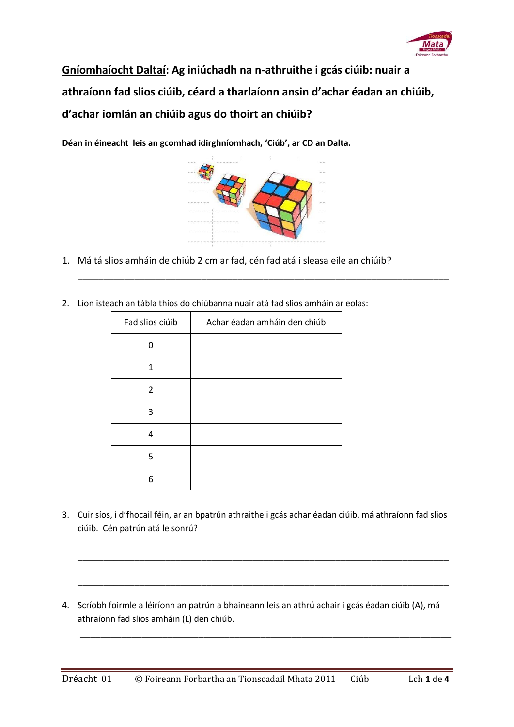

**Gníomhaíocht Daltaí: Ag iniúchadh na n-athruithe i gcás ciúib: nuair a athraíonn fad slios ciúib, céard a tharlaíonn ansin d'achar éadan an chiúib, d'achar iomlán an chiúib agus do thoirt an chiúib?** 

**Déan in éineacht leis an gcomhad idirghníomhach, 'Ciúb', ar CD an Dalta.**



\_\_\_\_\_\_\_\_\_\_\_\_\_\_\_\_\_\_\_\_\_\_\_\_\_\_\_\_\_\_\_\_\_\_\_\_\_\_\_\_\_\_\_\_\_\_\_\_\_\_\_\_\_\_\_\_\_\_\_\_\_\_\_\_\_\_\_\_\_\_\_\_

- 1. Má tá slios amháin de chiúb 2 cm ar fad, cén fad atá i sleasa eile an chiúib?
- 2. Líon isteach an tábla thios do chiúbanna nuair atá fad slios amháin ar eolas:

| Fad slios ciúib | Achar éadan amháin den chiúb |
|-----------------|------------------------------|
| n               |                              |
| 1               |                              |
| 2               |                              |
| 3               |                              |
| 4               |                              |
| 5               |                              |
| 6               |                              |

3. Cuir síos, i d'fhocail féin, ar an bpatrún athraithe i gcás achar éadan ciúib, má athraíonn fad slios ciúib. Cén patrún atá le sonrú?

\_\_\_\_\_\_\_\_\_\_\_\_\_\_\_\_\_\_\_\_\_\_\_\_\_\_\_\_\_\_\_\_\_\_\_\_\_\_\_\_\_\_\_\_\_\_\_\_\_\_\_\_\_\_\_\_\_\_\_\_\_\_\_\_\_\_\_\_\_\_\_\_

\_\_\_\_\_\_\_\_\_\_\_\_\_\_\_\_\_\_\_\_\_\_\_\_\_\_\_\_\_\_\_\_\_\_\_\_\_\_\_\_\_\_\_\_\_\_\_\_\_\_\_\_\_\_\_\_\_\_\_\_\_\_\_\_\_\_\_\_\_\_\_\_

\_\_\_\_\_\_\_\_\_\_\_\_\_\_\_\_\_\_\_\_\_\_\_\_\_\_\_\_\_\_\_\_\_\_\_\_\_\_\_\_\_\_\_\_\_\_\_\_\_\_\_\_\_\_\_\_\_\_\_\_\_\_\_\_\_\_\_\_\_\_\_\_

4. Scríobh foirmle a léiríonn an patrún a bhaineann leis an athrú achair i gcás éadan ciúib (A), má athraíonn fad slios amháin (L) den chiúb.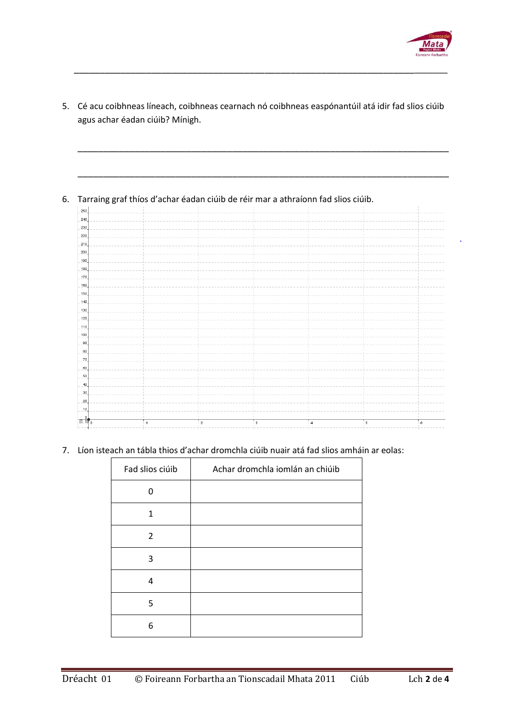

|          | Tarraing graf thíos d'achar éadan ciúib de réir mar a athraíonn fad slios ciúib. |  |  |  |
|----------|----------------------------------------------------------------------------------|--|--|--|
| 250      |                                                                                  |  |  |  |
| 240      |                                                                                  |  |  |  |
| 230      |                                                                                  |  |  |  |
| 220      |                                                                                  |  |  |  |
| 210      |                                                                                  |  |  |  |
| 200      |                                                                                  |  |  |  |
| 190      |                                                                                  |  |  |  |
| 180      |                                                                                  |  |  |  |
| 170      |                                                                                  |  |  |  |
| 160      |                                                                                  |  |  |  |
| 150      |                                                                                  |  |  |  |
| 140      |                                                                                  |  |  |  |
| 130      |                                                                                  |  |  |  |
| 120      |                                                                                  |  |  |  |
| 110      |                                                                                  |  |  |  |
| 100      |                                                                                  |  |  |  |
| 90       |                                                                                  |  |  |  |
| 80       |                                                                                  |  |  |  |
| 70       |                                                                                  |  |  |  |
| 60       |                                                                                  |  |  |  |
| 50       |                                                                                  |  |  |  |
| 40       |                                                                                  |  |  |  |
|          |                                                                                  |  |  |  |
| 30       |                                                                                  |  |  |  |
| 20<br>10 |                                                                                  |  |  |  |

5. Cé acu coibhneas líneach, coibhneas cearnach nó coibhneas easpónantúil atá idir fad slios ciúib

\_\_\_\_\_\_\_\_\_\_\_\_\_\_\_\_\_\_\_\_\_\_\_\_\_\_\_\_\_\_\_\_\_\_\_\_\_\_\_\_\_\_\_\_\_\_\_\_\_\_\_\_\_\_\_\_\_\_\_\_\_\_\_\_\_\_\_\_\_\_\_\_\_

7. Líon isteach an tábla thios d'achar dromchla ciúib nuair atá fad slios amháin ar eolas:

| Fad slios ciúib | Achar dromchla iomlán an chiúib |
|-----------------|---------------------------------|
| O               |                                 |
| 1               |                                 |
| $\overline{2}$  |                                 |
| 3               |                                 |
| 4               |                                 |
| 5               |                                 |
| 6               |                                 |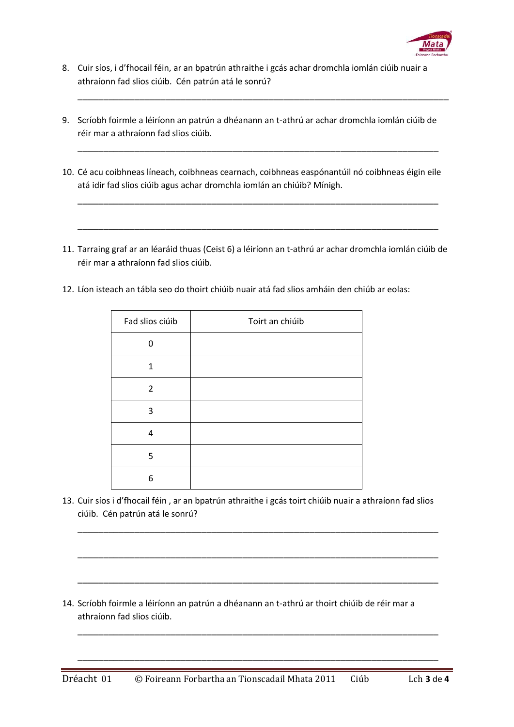

- 8. Cuir síos, i d'fhocail féin, ar an bpatrún athraithe i gcás achar dromchla iomlán ciúib nuair a athraíonn fad slios ciúib. Cén patrún atá le sonrú?
- 9. Scríobh foirmle a léiríonn an patrún a dhéanann an t-athrú ar achar dromchla iomlán ciúib de réir mar a athraíonn fad slios ciúib.

\_\_\_\_\_\_\_\_\_\_\_\_\_\_\_\_\_\_\_\_\_\_\_\_\_\_\_\_\_\_\_\_\_\_\_\_\_\_\_\_\_\_\_\_\_\_\_\_\_\_\_\_\_\_\_\_\_\_\_\_\_\_\_\_\_\_\_\_\_\_\_\_

10. Cé acu coibhneas líneach, coibhneas cearnach, coibhneas easpónantúil nó coibhneas éigin eile atá idir fad slios ciúib agus achar dromchla iomlán an chiúib? Mínigh.

\_\_\_\_\_\_\_\_\_\_\_\_\_\_\_\_\_\_\_\_\_\_\_\_\_\_\_\_\_\_\_\_\_\_\_\_\_\_\_\_\_\_\_\_\_\_\_\_\_\_\_\_\_\_\_\_\_\_\_\_\_\_\_\_\_\_\_\_\_\_

\_\_\_\_\_\_\_\_\_\_\_\_\_\_\_\_\_\_\_\_\_\_\_\_\_\_\_\_\_\_\_\_\_\_\_\_\_\_\_\_\_\_\_\_\_\_\_\_\_\_\_\_\_\_\_\_\_\_\_\_\_\_\_\_\_\_\_\_\_\_

\_\_\_\_\_\_\_\_\_\_\_\_\_\_\_\_\_\_\_\_\_\_\_\_\_\_\_\_\_\_\_\_\_\_\_\_\_\_\_\_\_\_\_\_\_\_\_\_\_\_\_\_\_\_\_\_\_\_\_\_\_\_\_\_\_\_\_\_\_\_

- 11. Tarraing graf ar an léaráid thuas (Ceist 6) a léiríonn an t-athrú ar achar dromchla iomlán ciúib de réir mar a athraíonn fad slios ciúib.
- 12. Líon isteach an tábla seo do thoirt chiúib nuair atá fad slios amháin den chiúb ar eolas:

| Fad slios ciúib | Toirt an chiúib |
|-----------------|-----------------|
| n               |                 |
|                 |                 |
| $\overline{2}$  |                 |
| 3               |                 |
| 4               |                 |
| 5               |                 |
| 6               |                 |

13. Cuir síos i d'fhocail féin , ar an bpatrún athraithe i gcás toirt chiúib nuair a athraíonn fad slios ciúib. Cén patrún atá le sonrú?

\_\_\_\_\_\_\_\_\_\_\_\_\_\_\_\_\_\_\_\_\_\_\_\_\_\_\_\_\_\_\_\_\_\_\_\_\_\_\_\_\_\_\_\_\_\_\_\_\_\_\_\_\_\_\_\_\_\_\_\_\_\_\_\_\_\_\_\_\_\_

\_\_\_\_\_\_\_\_\_\_\_\_\_\_\_\_\_\_\_\_\_\_\_\_\_\_\_\_\_\_\_\_\_\_\_\_\_\_\_\_\_\_\_\_\_\_\_\_\_\_\_\_\_\_\_\_\_\_\_\_\_\_\_\_\_\_\_\_\_\_

\_\_\_\_\_\_\_\_\_\_\_\_\_\_\_\_\_\_\_\_\_\_\_\_\_\_\_\_\_\_\_\_\_\_\_\_\_\_\_\_\_\_\_\_\_\_\_\_\_\_\_\_\_\_\_\_\_\_\_\_\_\_\_\_\_\_\_\_\_\_

\_\_\_\_\_\_\_\_\_\_\_\_\_\_\_\_\_\_\_\_\_\_\_\_\_\_\_\_\_\_\_\_\_\_\_\_\_\_\_\_\_\_\_\_\_\_\_\_\_\_\_\_\_\_\_\_\_\_\_\_\_\_\_\_\_\_\_\_\_\_

\_\_\_\_\_\_\_\_\_\_\_\_\_\_\_\_\_\_\_\_\_\_\_\_\_\_\_\_\_\_\_\_\_\_\_\_\_\_\_\_\_\_\_\_\_\_\_\_\_\_\_\_\_\_\_\_\_\_\_\_\_\_\_\_\_\_\_\_\_\_

14. Scríobh foirmle a léiríonn an patrún a dhéanann an t-athrú ar thoirt chiúib de réir mar a athraíonn fad slios ciúib.